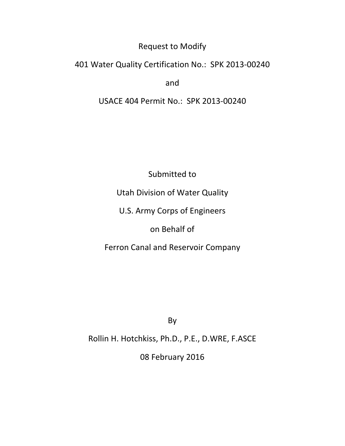## Request to Modify

## 401 Water Quality Certification No.: SPK 2013-00240

and

# USACE 404 Permit No.: SPK 2013-00240

Submitted to

Utah Division of Water Quality

U.S. Army Corps of Engineers

on Behalf of

Ferron Canal and Reservoir Company

By

Rollin H. Hotchkiss, Ph.D., P.E., D.WRE, F.ASCE

08 February 2016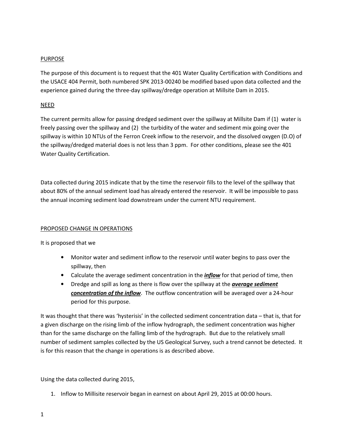### PURPOSE

The purpose of this document is to request that the 401 Water Quality Certification with Conditions and the USACE 404 Permit, both numbered SPK 2013-00240 be modified based upon data collected and the experience gained during the three-day spillway/dredge operation at Millsite Dam in 2015.

### NEED

The current permits allow for passing dredged sediment over the spillway at Millsite Dam if (1) water is freely passing over the spillway and (2) the turbidity of the water and sediment mix going over the spillway is within 10 NTUs of the Ferron Creek inflow to the reservoir, and the dissolved oxygen (D.O) of the spillway/dredged material does is not less than 3 ppm. For other conditions, please see the 401 Water Quality Certification.

Data collected during 2015 indicate that by the time the reservoir fills to the level of the spillway that about 80% of the annual sediment load has already entered the reservoir. It will be impossible to pass the annual incoming sediment load downstream under the current NTU requirement.

#### PROPOSED CHANGE IN OPERATIONS

It is proposed that we

- Monitor water and sediment inflow to the reservoir until water begins to pass over the spillway, then
- Calculate the average sediment concentration in the *inflow* for that period of time, then
- Dredge and spill as long as there is flow over the spillway at the *average sediment* concentration of the inflow. The outflow concentration will be averaged over a 24-hour period for this purpose.

It was thought that there was 'hysterisis' in the collected sediment concentration data – that is, that for a given discharge on the rising limb of the inflow hydrograph, the sediment concentration was higher than for the same discharge on the falling limb of the hydrograph. But due to the relatively small number of sediment samples collected by the US Geological Survey, such a trend cannot be detected. It is for this reason that the change in operations is as described above.

Using the data collected during 2015,

1. Inflow to Millisite reservoir began in earnest on about April 29, 2015 at 00:00 hours.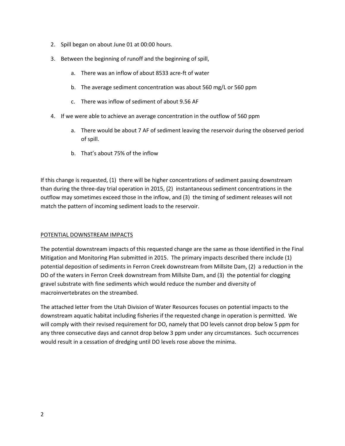- 2. Spill began on about June 01 at 00:00 hours.
- 3. Between the beginning of runoff and the beginning of spill,
	- a. There was an inflow of about 8533 acre-ft of water
	- b. The average sediment concentration was about 560 mg/L or 560 ppm
	- c. There was inflow of sediment of about 9.56 AF
- 4. If we were able to achieve an average concentration in the outflow of 560 ppm
	- a. There would be about 7 AF of sediment leaving the reservoir during the observed period of spill.
	- b. That's about 75% of the inflow

If this change is requested, (1) there will be higher concentrations of sediment passing downstream than during the three-day trial operation in 2015, (2) instantaneous sediment concentrations in the outflow may sometimes exceed those in the inflow, and (3) the timing of sediment releases will not match the pattern of incoming sediment loads to the reservoir.

#### POTENTIAL DOWNSTREAM IMPACTS

The potential downstream impacts of this requested change are the same as those identified in the Final Mitigation and Monitoring Plan submitted in 2015. The primary impacts described there include (1) potential deposition of sediments in Ferron Creek downstream from Millsite Dam, (2) a reduction in the DO of the waters in Ferron Creek downstream from Millsite Dam, and (3) the potential for clogging gravel substrate with fine sediments which would reduce the number and diversity of macroinvertebrates on the streambed.

The attached letter from the Utah Division of Water Resources focuses on potential impacts to the downstream aquatic habitat including fisheries if the requested change in operation is permitted. We will comply with their revised requirement for DO, namely that DO levels cannot drop below 5 ppm for any three consecutive days and cannot drop below 3 ppm under any circumstances. Such occurrences would result in a cessation of dredging until DO levels rose above the minima.